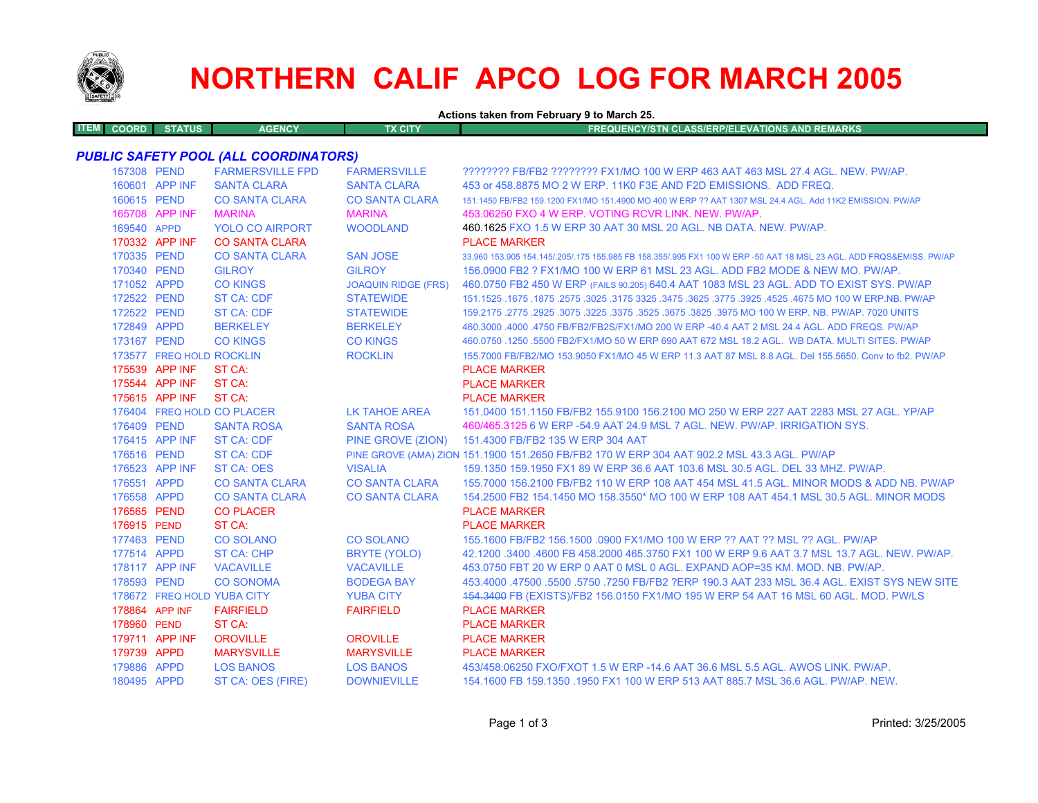

# **NORTHERN CALIF APCO LOG FOR MARCH 2005**

**Actions taken from February 9 to March 25.**

|  | TEM L | <b>STATUS</b><br><b>COORD</b> | <b>AGENCY</b> | TX CITY' | <b>FREQUENCY/STN CLASS/ERP/ELEVATIONS AND REMARKS</b> |
|--|-------|-------------------------------|---------------|----------|-------------------------------------------------------|
|--|-------|-------------------------------|---------------|----------|-------------------------------------------------------|

## *PUBLIC SAFETY POOL (ALL COORDINATORS)*

| 157308 PEND |                          | <b>FARMERSVILLE FPD</b>               | <b>FARMERSVILLE</b>                     | ???????? FB/FB2 ???????? FX1/MO 100 W ERP 463 AAT 463 MSL 27.4 AGL. NEW. PW/AP.                                                                                            |
|-------------|--------------------------|---------------------------------------|-----------------------------------------|----------------------------------------------------------------------------------------------------------------------------------------------------------------------------|
|             | 160601 APP INF           | <b>SANTA CLARA</b>                    | <b>SANTA CLARA</b>                      | 453 or 458,8875 MO 2 W ERP, 11K0 F3E AND F2D EMISSIONS. ADD FREQ.                                                                                                          |
| 160615 PEND |                          | <b>CO SANTA CLARA</b>                 | <b>CO SANTA CLARA</b>                   | 151.1450 FB/FB2 159.1200 FX1/MO 151.4900 MO 400 W ERP ?? AAT 1307 MSL 24.4 AGL. Add 11K2 EMISSION. PW/AP                                                                   |
|             | 165708 APP INF           | <b>MARINA</b>                         | <b>MARINA</b>                           | 453.06250 FXO 4 W ERP. VOTING RCVR LINK. NEW. PW/AP.                                                                                                                       |
| 169540 APPD |                          | <b>YOLO CO AIRPORT</b>                | <b>WOODLAND</b>                         | 460.1625 FXO 1.5 W ERP 30 AAT 30 MSL 20 AGL. NB DATA. NEW. PW/AP.                                                                                                          |
|             | 170332 APP INF           | <b>CO SANTA CLARA</b>                 |                                         | <b>PLACE MARKER</b>                                                                                                                                                        |
| 170335 PEND |                          | <b>CO SANTA CLARA</b>                 | <b>SAN JOSE</b>                         | 33.960 153.905 154.145/.205/.175 155.985 FB 158.355/.995 FX1 100 W ERP -50 AAT 18 MSL 23 AGL. ADD FRQS&EMISS. PW/AP                                                        |
| 170340 PEND |                          | <b>GILROY</b>                         | <b>GILROY</b>                           | 156,0900 FB2 ? FX1/MO 100 W ERP 61 MSL 23 AGL, ADD FB2 MODE & NEW MO, PW/AP.                                                                                               |
| 171052 APPD |                          | <b>CO KINGS</b>                       | <b>JOAQUIN RIDGE (FRS)</b>              | 460.0750 FB2 450 W ERP (FAILS 90.205) 640.4 AAT 1083 MSL 23 AGL. ADD TO EXIST SYS. PW/AP                                                                                   |
| 172522 PEND |                          | <b>ST CA: CDF</b>                     | <b>STATEWIDE</b>                        | 167.1525 .1675 .1675 .3625 .3625 .3775 .3925 .3775 .3925 .3775 .3925 3775 .3925 .1675 .1675 .1675 .1679 .1679                                                              |
| 172522 PEND |                          | <b>ST CA: CDF</b>                     | <b>STATEWIDE</b>                        | 159.2175 .2775 .2925 .3075 .3225 .3675 .3675 .3625 .3975 MO 100 W ERP. NB. PW/AP. 7020 UNITS                                                                               |
| 172849 APPD |                          | <b>BERKELEY</b>                       | <b>BERKELEY</b>                         | 460.3000 .4000 .4750 FB/FB2/FB2S/FX1/MO 200 W ERP -40.4 AAT 2 MSL 24.4 AGL. ADD FREQS. PW/AP                                                                               |
| 173167 PEND |                          | <b>CO KINGS</b>                       | <b>CO KINGS</b>                         | 460.0750 .1250 .5500 FB2/FX1/MO 50 W ERP 690 AAT 672 MSL 18.2 AGL. WB DATA, MULTI SITES, PW/AP                                                                             |
|             | 173577 FREQ HOLD ROCKLIN |                                       | <b>ROCKLIN</b>                          | 155,7000 FB/FB2/MO 153,9050 FX1/MO 45 W ERP 11.3 AAT 87 MSL 8.8 AGL. Del 155,5650. Conv to fb2, PW/AP                                                                      |
|             | 175539 APP INF           | ST CA:                                |                                         | <b>PLACE MARKER</b>                                                                                                                                                        |
|             | 175544 APP INF           | ST CA:                                |                                         | <b>PLACE MARKER</b>                                                                                                                                                        |
|             | 175615 APP INF           | ST CA:                                |                                         | <b>PLACE MARKER</b>                                                                                                                                                        |
|             |                          | 176404 FREQ HOLD CO PLACER            | LK TAHOE AREA                           | 151.0400 151.1150 FB/FB2 155.9100 156.2100 MO 250 W ERP 227 AAT 2283 MSL 27 AGL. YP/AP                                                                                     |
| 176409 PEND |                          | <b>SANTA ROSA</b>                     | <b>SANTA ROSA</b>                       | 460/465.3125 6 W ERP -54.9 AAT 24.9 MSL 7 AGL, NEW, PW/AP, IRRIGATION SYS.                                                                                                 |
|             | 176415 APP INF           | <b>ST CA: CDF</b>                     |                                         | PINE GROVE (ZION) 151.4300 FB/FB2 135 W ERP 304 AAT                                                                                                                        |
| 176516 PEND |                          | <b>ST CA: CDF</b>                     |                                         | PINE GROVE (AMA) ZION 151.1900 151.2650 FB/FB2 170 W ERP 304 AAT 902.2 MSL 43.3 AGL. PW/AP                                                                                 |
|             | 176523 APP INF           | <b>ST CA: OES</b>                     | <b>VISALIA</b>                          | 159.1350 159.1950 FX1 89 W ERP 36.6 AAT 103.6 MSL 30.5 AGL, DEL 33 MHZ, PW/AP,                                                                                             |
| 176551 APPD |                          | <b>CO SANTA CLARA</b>                 | <b>CO SANTA CLARA</b>                   | 155,7000 156,2100 FB/FB2 110 W ERP 108 AAT 454 MSL 41.5 AGL, MINOR MODS & ADD NB, PW/AP                                                                                    |
| 176558 APPD |                          | <b>CO SANTA CLARA</b>                 | <b>CO SANTA CLARA</b>                   | 154,2500 FB2 154,1450 MO 158,3550* MO 100 W ERP 108 AAT 454,1 MSL 30.5 AGL. MINOR MODS                                                                                     |
| 176565 PEND |                          | <b>CO PLACER</b>                      |                                         | <b>PLACE MARKER</b>                                                                                                                                                        |
| 176915 PEND |                          | ST CA:                                |                                         | <b>PLACE MARKER</b>                                                                                                                                                        |
| 177463 PEND |                          | <b>CO SOLANO</b>                      | <b>CO SOLANO</b>                        | 155.1600 FB/FB2 156.1500 .0900 FX1/MO 100 W ERP ?? AAT ?? MSL ?? AGL. PW/AP                                                                                                |
| 177514 APPD | 178117 APP INF           | <b>ST CA: CHP</b><br><b>VACAVILLE</b> | <b>BRYTE (YOLO)</b><br><b>VACAVILLE</b> | 42.1200 .3400 .4600 FB 458.2000 465.3750 FX1 100 W ERP 9.6 AAT 3.7 MSL 13.7 AGL, NEW, PW/AP,<br>453.0750 FBT 20 W ERP 0 AAT 0 MSL 0 AGL. EXPAND AOP=35 KM, MOD, NB, PW/AP, |
| 178593 PEND |                          | <b>CO SONOMA</b>                      | <b>BODEGA BAY</b>                       | 453,4000 .47500 .5500 .5750 .7250 FB/FB2 ?ERP 190.3 AAT 233 MSL 36.4 AGL. EXIST SYS NEW SITE                                                                               |
|             |                          | 178672 FREQ HOLD YUBA CITY            | <b>YUBA CITY</b>                        | 454.3400 FB (EXISTS)/FB2 156.0150 FX1/MO 195 W ERP 54 AAT 16 MSL 60 AGL. MOD. PW/LS                                                                                        |
|             | 178864 APP INF           | <b>FAIRFIELD</b>                      | <b>FAIRFIELD</b>                        | <b>PLACE MARKER</b>                                                                                                                                                        |
| 178960 PEND |                          | ST CA:                                |                                         | <b>PLACE MARKER</b>                                                                                                                                                        |
|             | 179711 APP INF           | <b>OROVILLE</b>                       | <b>OROVILLE</b>                         | <b>PLACE MARKER</b>                                                                                                                                                        |
| 179739 APPD |                          | <b>MARYSVILLE</b>                     | <b>MARYSVILLE</b>                       | <b>PLACE MARKER</b>                                                                                                                                                        |
| 179886 APPD |                          | <b>LOS BANOS</b>                      | <b>LOS BANOS</b>                        | 453/458.06250 FXO/FXOT 1.5 W ERP -14.6 AAT 36.6 MSL 5.5 AGL, AWOS LINK, PW/AP.                                                                                             |
| 180495 APPD |                          | ST CA: OES (FIRE)                     | <b>DOWNIEVILLE</b>                      | 154.1600 FB 159.1350 .1950 FX1 100 W ERP 513 AAT 885.7 MSL 36.6 AGL. PW/AP. NEW.                                                                                           |
|             |                          |                                       |                                         |                                                                                                                                                                            |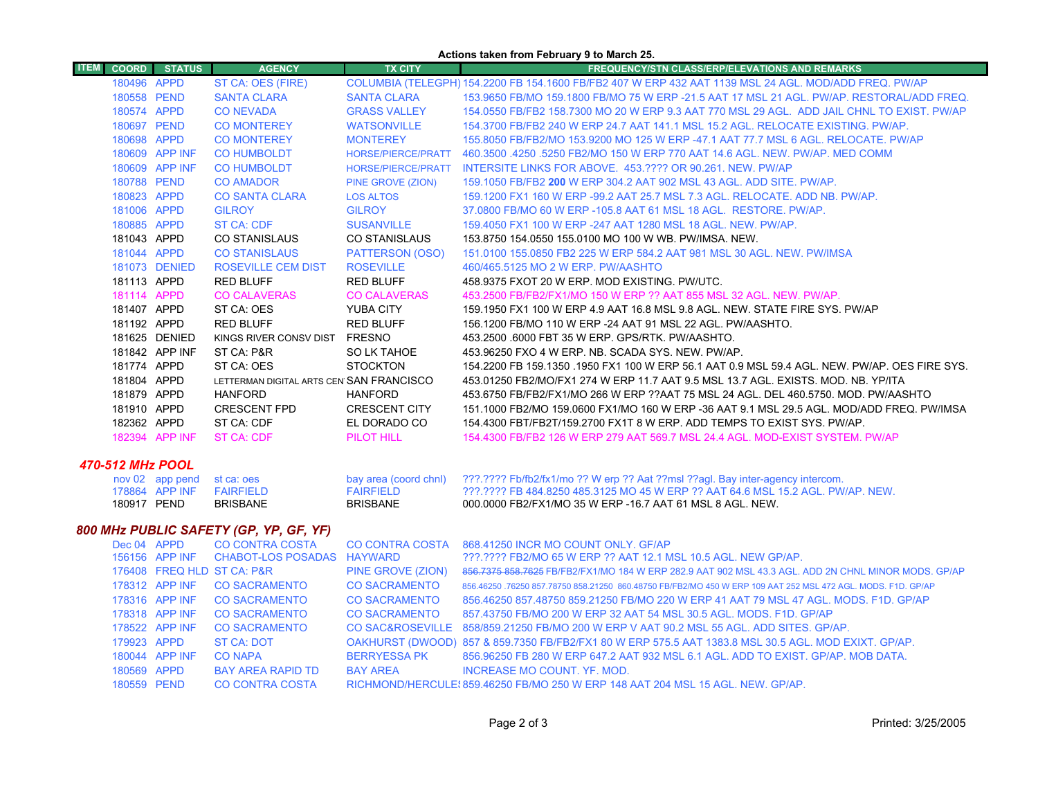#### **Actions taken from February 9 to March 25.**

| <b>ITEM</b> |                  | <b>COORD</b> STATUS              | <b>AGENCY</b>                            | <b>TX CITY</b>            | <b>FREQUENCY/STN CLASS/ERP/ELEVATIONS AND REMARKS</b>                                                 |
|-------------|------------------|----------------------------------|------------------------------------------|---------------------------|-------------------------------------------------------------------------------------------------------|
|             | 180496 APPD      |                                  | ST CA: OES (FIRE)                        |                           | COLUMBIA (TELEGPH) 154.2200 FB 154.1600 FB/FB2 407 W ERP 432 AAT 1139 MSL 24 AGL. MOD/ADD FREQ. PW/AP |
|             | 180558 PEND      |                                  | <b>SANTA CLARA</b>                       | <b>SANTA CLARA</b>        | 153,9650 FB/MO 159,1800 FB/MO 75 W ERP -21.5 AAT 17 MSL 21 AGL, PW/AP, RESTORAL/ADD FREQ.             |
|             | 180574 APPD      |                                  | <b>CO NEVADA</b>                         | <b>GRASS VALLEY</b>       | 154,0550 FB/FB2 158,7300 MO 20 W ERP 9.3 AAT 770 MSL 29 AGL. ADD JAIL CHNL TO EXIST, PW/AP            |
|             | 180697 PEND      |                                  | <b>CO MONTEREY</b>                       | <b>WATSONVILLE</b>        | 154.3700 FB/FB2 240 W ERP 24.7 AAT 141.1 MSL 15.2 AGL. RELOCATE EXISTING, PW/AP.                      |
|             | 180698 APPD      |                                  | <b>CO MONTEREY</b>                       | <b>MONTEREY</b>           | 155.8050 FB/FB2/MO 153.9200 MO 125 W ERP -47.1 AAT 77.7 MSL 6 AGL. RELOCATE. PW/AP                    |
|             |                  | 180609 APP INF                   | <b>CO HUMBOLDT</b>                       | <b>HORSE/PIERCE/PRATT</b> | 460.3500 .4250 .5250 FB2/MO 150 W ERP 770 AAT 14.6 AGL, NEW, PW/AP, MED COMM                          |
|             |                  | 180609 APP INF                   | <b>CO HUMBOLDT</b>                       |                           | HORSE/PIERCE/PRATT INTERSITE LINKS FOR ABOVE. 453.???? OR 90.261. NEW. PW/AP                          |
|             | 180788 PEND      |                                  | <b>CO AMADOR</b>                         | PINE GROVE (ZION)         | 159.1050 FB/FB2 200 W ERP 304.2 AAT 902 MSL 43 AGL, ADD SITE, PW/AP.                                  |
|             | 180823 APPD      |                                  | <b>CO SANTA CLARA</b>                    | <b>LOS ALTOS</b>          | 159.1200 FX1 160 W ERP -99.2 AAT 25.7 MSL 7.3 AGL, RELOCATE, ADD NB, PW/AP,                           |
|             | 181006 APPD      |                                  | <b>GILROY</b>                            | <b>GILROY</b>             | 37,0800 FB/MO 60 W ERP -105.8 AAT 61 MSL 18 AGL. RESTORE, PW/AP.                                      |
|             | 180885 APPD      |                                  | ST CA: CDF                               | <b>SUSANVILLE</b>         | 159,4050 FX1 100 W ERP -247 AAT 1280 MSL 18 AGL, NEW, PW/AP,                                          |
|             | 181043 APPD      |                                  | <b>CO STANISLAUS</b>                     | <b>CO STANISLAUS</b>      | 153.8750 154.0550 155.0100 MO 100 W WB, PW/IMSA, NEW,                                                 |
|             | 181044 APPD      |                                  | <b>CO STANISLAUS</b>                     | PATTERSON (OSO)           | 151,0100 155,0850 FB2 225 W ERP 584.2 AAT 981 MSL 30 AGL. NEW, PW/IMSA                                |
|             |                  | 181073 DENIED                    | <b>ROSEVILLE CEM DIST</b>                | <b>ROSEVILLE</b>          | 460/465.5125 MO 2 W ERP. PW/AASHTO                                                                    |
|             | 181113 APPD      |                                  | <b>RED BLUFF</b>                         | <b>RED BLUFF</b>          | 458.9375 FXOT 20 W ERP. MOD EXISTING. PW/UTC.                                                         |
|             | 181114 APPD      |                                  | <b>CO CALAVERAS</b>                      | <b>CO CALAVERAS</b>       | 453.2500 FB/FB2/FX1/MO 150 W ERP ?? AAT 855 MSL 32 AGL. NEW. PW/AP.                                   |
|             | 181407 APPD      |                                  | ST CA: OES                               | YUBA CITY                 | 159.1950 FX1 100 W ERP 4.9 AAT 16.8 MSL 9.8 AGL, NEW, STATE FIRE SYS, PW/AP                           |
|             | 181192 APPD      |                                  | <b>RED BLUFF</b>                         | <b>RED BLUFF</b>          | 156.1200 FB/MO 110 W ERP -24 AAT 91 MSL 22 AGL. PW/AASHTO.                                            |
|             |                  | 181625 DENIED                    | KINGS RIVER CONSV DIST                   | FRESNO                    | 453.2500 6000 FBT 35 W ERP. GPS/RTK. PW/AASHTO.                                                       |
|             |                  | 181842 APP INF                   | ST CA: P&R                               | SO LK TAHOE               | 453,96250 FXO 4 W ERP, NB, SCADA SYS, NEW, PW/AP.                                                     |
|             | 181774 APPD      |                                  | ST CA: OES                               | <b>STOCKTON</b>           | 154.2200 FB 159.1350 .1950 FX1 100 W ERP 56.1 AAT 0.9 MSL 59.4 AGL, NEW, PW/AP, OES FIRE SYS.         |
|             | 181804 APPD      |                                  | LETTERMAN DIGITAL ARTS CEN SAN FRANCISCO |                           | 453.01250 FB2/MO/FX1 274 W ERP 11.7 AAT 9.5 MSL 13.7 AGL. EXISTS, MOD, NB, YP/ITA                     |
|             | 181879 APPD      |                                  | HANFORD                                  | <b>HANFORD</b>            | 453.6750 FB/FB2/FX1/MO 266 W ERP ??AAT 75 MSL 24 AGL. DEL 460.5750. MOD. PW/AASHTO                    |
|             | 181910 APPD      |                                  | <b>CRESCENT FPD</b>                      | <b>CRESCENT CITY</b>      | 151.1000 FB2/MO 159.0600 FX1/MO 160 W ERP -36 AAT 9.1 MSL 29.5 AGL. MOD/ADD FREQ. PW/IMSA             |
|             | 182362 APPD      |                                  | ST CA: CDF                               | EL DORADO CO              | 154.4300 FBT/FB2T/159.2700 FX1T 8 W ERP, ADD TEMPS TO EXIST SYS, PW/AP.                               |
|             |                  | 182394 APP INF                   | ST CA: CDF                               | PILOT HILL                | 154.4300 FB/FB2 126 W ERP 279 AAT 569.7 MSL 24.4 AGL, MOD-EXIST SYSTEM, PW/AP                         |
|             | 470-512 MHz POOL |                                  |                                          |                           |                                                                                                       |
|             |                  | $now 02$ ann nand $the area$ nac |                                          |                           | hay area (coord chnl) 222 2222 Eh/fh2/fy1/mo 22 W ern 22 Ast 22msl 22sol. Bay inter-agency intercom   |

| nov 02 app pend st ca: oes |                 |                   | bay area (coord chnl) 2??.???? Fb/fb2/fx1/mo ?? W erp ?? Aat ??msl ??agl. Bay inter-agency intercom. |
|----------------------------|-----------------|-------------------|------------------------------------------------------------------------------------------------------|
| 178864 APP INF FAIRFIFI D  |                 | <b>FAIRFIFI D</b> | 222.2222 FB 484.8250 485.3125 MO 45 W ERP 22 AAT 64.6 MSL 15.2 AGL. PW/AP. NEW.                      |
| 180917 PEND                | <b>BRISBANE</b> | <b>BRISBANE</b>   | 000.0000 FB2/FX1/MO 35 W ERP -16.7 AAT 61 MSL 8 AGL. NEW                                             |

# *800 MHz PUBLIC SAFETY (GP, YP, GF, YF)*

| Dec 04 APPD |                | CO CONTRA COSTA CO CONTRA COSTA           |                      | 868.41250 INCR MO COUNT ONLY. GF/AP                                                                          |
|-------------|----------------|-------------------------------------------|----------------------|--------------------------------------------------------------------------------------------------------------|
|             |                | 156156 APP INF CHABOT-LOS POSADAS HAYWARD |                      | ???.???? FB2/MO 65 W ERP ?? AAT 12.1 MSL 10.5 AGL. NEW GP/AP.                                                |
|             |                | 176408 FREQ HLD ST CA: P&R                | PINE GROVE (ZION)    | 856.7375 858.7625 FB/FB2/FX1/MO 184 W ERP 282.9 AAT 902 MSL 43.3 AGL. ADD 2N CHNL MINOR MODS. GP/AP          |
|             | 178312 APP INF | <b>CO SACRAMENTO</b>                      | <b>CO SACRAMENTO</b> | 856.46250 .76250 857.78750 858.21250 860.48750 FB/FB2/MO 450 W ERP 109 AAT 252 MSL 472 AGL. MODS, F1D, GP/AP |
|             | 178316 APP INF | <b>CO SACRAMENTO</b>                      | <b>CO SACRAMENTO</b> | 856.46250 857.48750 859.21250 FB/MO 220 W ERP 41 AAT 79 MSL 47 AGL. MODS. F1D. GP/AP                         |
|             | 178318 APP INF | <b>CO SACRAMENTO</b>                      | <b>CO SACRAMENTO</b> | 857.43750 FB/MO 200 W ERP 32 AAT 54 MSL 30.5 AGL, MODS, F1D, GP/AP                                           |
|             | 178522 APP INF | <b>CO SACRAMENTO</b>                      |                      | CO SAC&ROSEVILLE 858/859.21250 FB/MO 200 W ERP V AAT 90.2 MSL 55 AGL. ADD SITES, GP/AP.                      |
| 179923 APPD |                | ST CA: DOT                                |                      | OAKHURST (DWOOD) 857 & 859.7350 FB/FB2/FX1 80 W ERP 575.5 AAT 1383.8 MSL 30.5 AGL. MOD EXIXT. GP/AP.         |
|             | 180044 APP INF | <b>CO NAPA</b>                            | <b>BERRYESSA PK</b>  | 856,96250 FB 280 W ERP 647.2 AAT 932 MSL 6.1 AGL, ADD TO EXIST, GP/AP, MOB DATA,                             |
| 180569 APPD |                | <b>BAY AREA RAPID TD</b>                  | <b>BAY AREA</b>      | INCREASE MO COUNT. YF. MOD.                                                                                  |
| 180559 PEND |                | CO CONTRA COSTA                           |                      | RICHMOND/HERCULE: 859.46250 FB/MO 250 W ERP 148 AAT 204 MSL 15 AGL. NEW. GP/AP.                              |
|             |                |                                           |                      |                                                                                                              |

 $\mathcal{L}_{\mathcal{A}}$